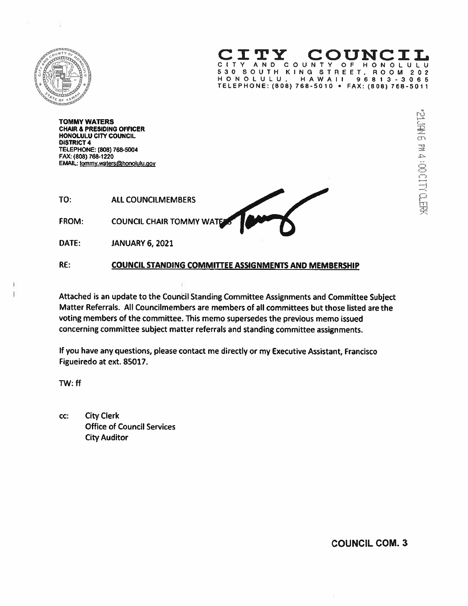

v

TY COUNC CITY AND COUNTY OF HONOLULU 530 SOUTH KING STREET. ROOM 202 HONOLULU! HAWAII 96813-3065 TELEPHONE: (808) 768-5010 • FAX: (808) 768-5011

TOMMY WATERS CHAIR & PRESIDING OFFICER HONOLULU CITY COUNCIL DISTRICT 4 TELEPHONE: (808) 765-5004 FAX: (808) 768-1220 EMAIL: tommy.waters@honolulu.gov

TO: ALL COUNCILMEMBERS FROM: COUNCIL CHAIR TOMMY WATE

DATE: JANUARY 6, 2021

# RE: COUNCIL STANDING COMMITTEE ASSIGNMENTS AND MEMBERSHIP

Attached is an update to the Council Standing Committee Assignments and Committee Subject Matter Referrals. All Councilmembers are members of all committees but those listed are the voting members of the committee. This memo supersedes the previous memo issued concerning committee subject matter referrals and standing committee assignments.

If you have any questions, <sup>p</sup>lease contact me directly or my Executive Assistant, Francisco Figueiredo at ext. 85017.

TW: ft

cc: City Clerk Office of Council Services City Auditor

COUNCIL COM. 3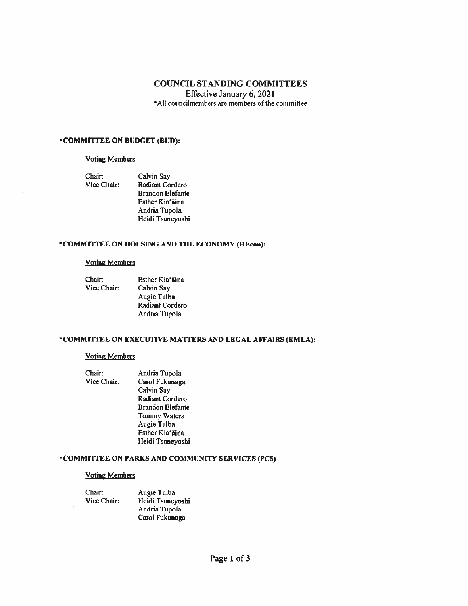## COUNCIL STANDING COMMITTEES

Effective January 6,2021 \*AII councilmembers are members of the committee

#### \*COMMITTEE ON BUDGET (BUD):

#### Voting Members

Chair: Calvin Say

Vice Chair: Radiant Cordero Brandon Elefante Esther Kia'ãina Andria Tupola Heidi Tsuneyoshi

# \*COMMIflEE ON HOUSING AND THE ECONOMY (HEcon):

#### Voting Members

| Chair:      | Esther Kia'aina        |
|-------------|------------------------|
| Vice Chair: | Calvin Say             |
|             | Augie Tulba            |
|             | <b>Radiant Cordero</b> |
|             | Andria Tupola          |

# \*COMMITTEE ON EXECUTIVE MATTERS AND LEGAL AFFAIRS (EMLA):

#### Voting Members

Chair: Andria Tupola Vice Chair: Carol Fukunaga Calvin Say Radiant Cordero Brandon Elefante Tommy Waters Augie Tulba Esther Kia'āina Heidi Tsuneyoshi

# \*COMMInEE ON PARKS AND COMMUNITY SERVICES (PCS)

## Voting Members

| Chair:      | Augie Tulba      |
|-------------|------------------|
| Vice Chair: | Heidi Tsuneyoshi |
|             | Andria Tupola    |
|             | Carol Fukunaga   |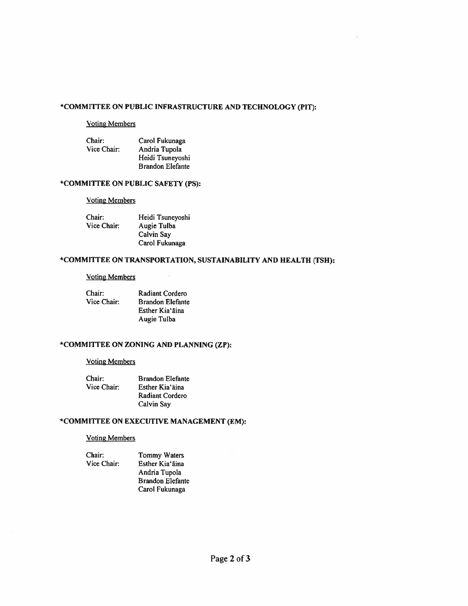# \*COMMITTEE ON PUBLIC INFRASTRUCTURE AND TECHNOLOGY (PIT):

#### Voting Members

| Chair:      | Carol Fukunaga          |
|-------------|-------------------------|
| Vice Chair: | Andria Tupola           |
|             | Heidi Tsuneyoshi        |
|             | <b>Brandon Elefante</b> |

### \*COMMITTEE ON PUBLIC SAFETY (PS):

#### **Voting Members**

| Chair:      | Heidi Tsuneyoshi |
|-------------|------------------|
| Vice Chair: | Augie Tulba      |
|             | Calvin Say       |
|             | Carol Fukunaga   |

# \*COMMITTEE ON TRANSPORTATION, SUSTAINABILITY AND HEALTH (TSH):

 $\lambda$ 

#### Voting Members

| Chair:      | <b>Radiant Cordero</b>  |
|-------------|-------------------------|
| Vice Chair: | <b>Brandon Elefante</b> |
|             | Esther Kia'āina         |
|             | Augie Tulba             |

# \*COMMInEE ON ZONING AND PLANNING (ZP):

# Voting Members

| Chair:      | <b>Brandon Elefante</b> |
|-------------|-------------------------|
| Vice Chair: | Esther Kia'aina         |
|             | <b>Radiant Cordero</b>  |
|             | Calvin Say              |

# \*COMMITTEE ON EXECUTIVE MANAGEMENT (EM):

#### Voting Members

Chair: Tommy Waters<br>Vice Chair: Esther Kia'āina

Esther Kia'āina Andria Tupola Brandon Elefante Carol Fukunaga